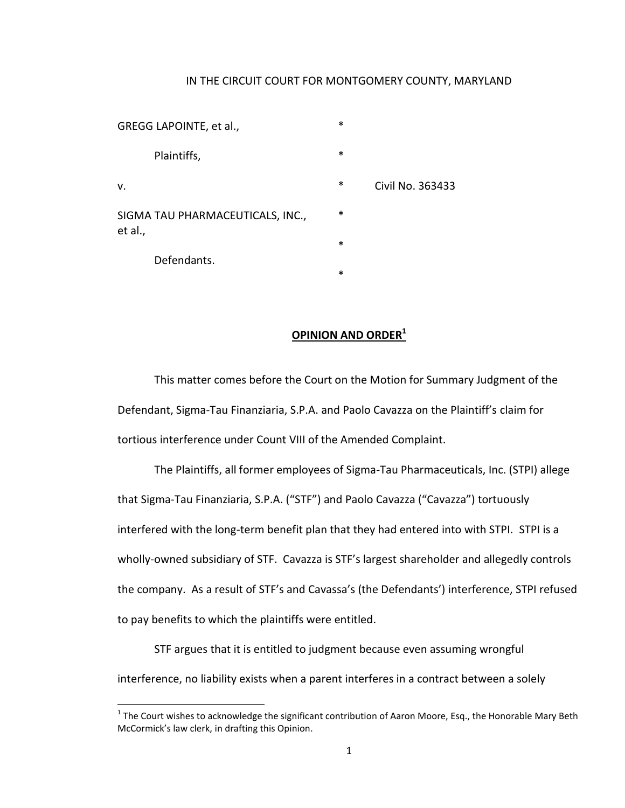## IN THE CIRCUIT COURT FOR MONTGOMERY COUNTY, MARYLAND

GREGG LAPOINTE, et al., \* Plaintiffs, v. \* Civil No. 363433 SIGMA TAU PHARMACEUTICALS, INC., et al., \* Defendants.

l

- -
- -
	- \*

## **OPINION AND ORDER<sup>1</sup>**

This matter comes before the Court on the Motion for Summary Judgment of the Defendant, Sigma-Tau Finanziaria, S.P.A. and Paolo Cavazza on the Plaintiff's claim for tortious interference under Count VIII of the Amended Complaint.

The Plaintiffs, all former employees of Sigma-Tau Pharmaceuticals, Inc. (STPI) allege that Sigma-Tau Finanziaria, S.P.A. ("STF") and Paolo Cavazza ("Cavazza") tortuously interfered with the long-term benefit plan that they had entered into with STPI. STPI is a wholly-owned subsidiary of STF. Cavazza is STF's largest shareholder and allegedly controls the company. As a result of STF's and Cavassa's (the Defendants') interference, STPI refused to pay benefits to which the plaintiffs were entitled.

STF argues that it is entitled to judgment because even assuming wrongful interference, no liability exists when a parent interferes in a contract between a solely

 $^1$  The Court wishes to acknowledge the significant contribution of Aaron Moore, Esq., the Honorable Mary Beth McCormick's law clerk, in drafting this Opinion.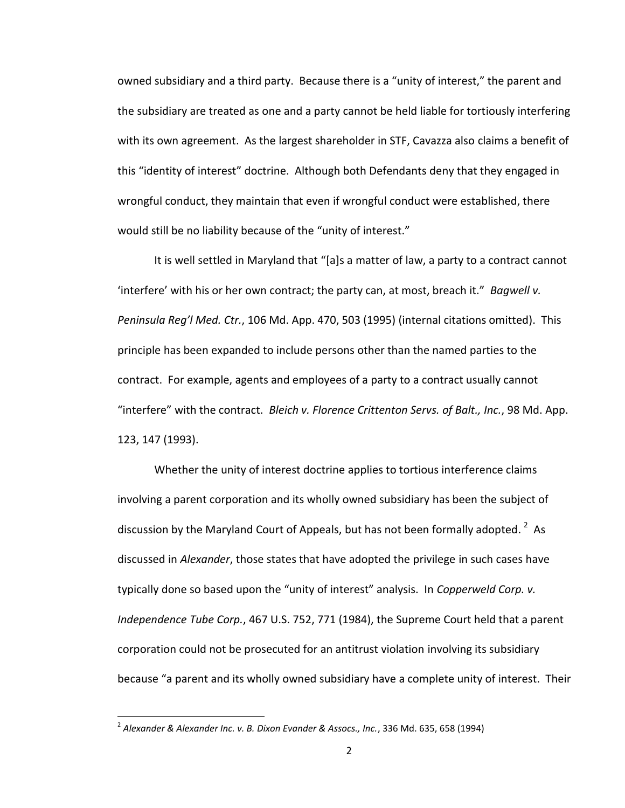owned subsidiary and a third party. Because there is a "unity of interest," the parent and the subsidiary are treated as one and a party cannot be held liable for tortiously interfering with its own agreement. As the largest shareholder in STF, Cavazza also claims a benefit of this "identity of interest" doctrine. Although both Defendants deny that they engaged in wrongful conduct, they maintain that even if wrongful conduct were established, there would still be no liability because of the "unity of interest."

It is well settled in Maryland that "[a]s a matter of law, a party to a contract cannot 'interfere' with his or her own contract; the party can, at most, breach it." *Bagwell v. Peninsula Reg'l Med. Ctr.*, 106 Md. App. 470, 503 (1995) (internal citations omitted). This principle has been expanded to include persons other than the named parties to the contract. For example, agents and employees of a party to a contract usually cannot "interfere" with the contract. *Bleich v. Florence Crittenton Servs. of Balt., Inc.*, 98 Md. App. 123, 147 (1993).

Whether the unity of interest doctrine applies to tortious interference claims involving a parent corporation and its wholly owned subsidiary has been the subject of discussion by the Maryland Court of Appeals, but has not been formally adopted.  $^2$  As discussed in *Alexander*, those states that have adopted the privilege in such cases have typically done so based upon the "unity of interest" analysis. In *Copperweld Corp. v. Independence Tube Corp.*, 467 U.S. 752, 771 (1984), the Supreme Court held that a parent corporation could not be prosecuted for an antitrust violation involving its subsidiary because "a parent and its wholly owned subsidiary have a complete unity of interest. Their

 $\overline{\phantom{a}}$ 

<sup>2</sup> *Alexander & Alexander Inc. v. B. Dixon Evander & Assocs., Inc.*, 336 Md. 635, 658 (1994)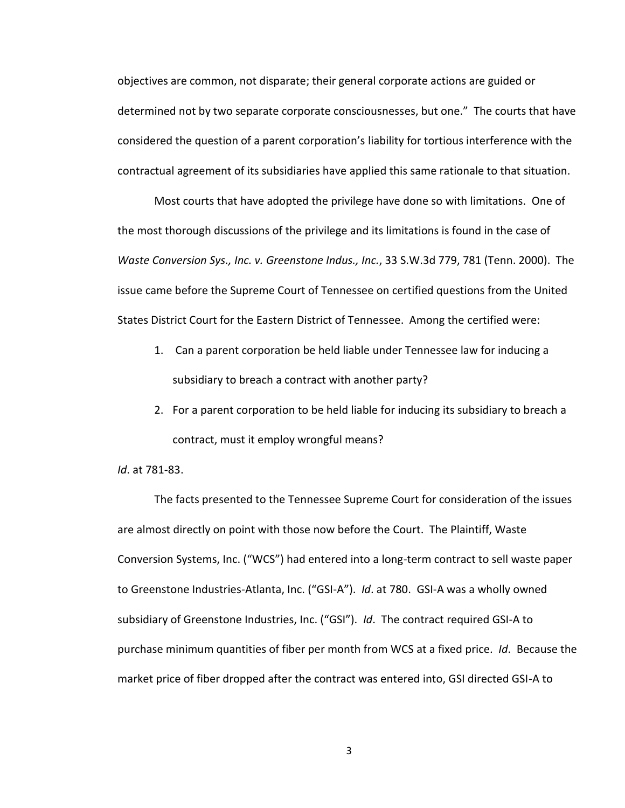objectives are common, not disparate; their general corporate actions are guided or determined not by two separate corporate consciousnesses, but one." The courts that have considered the question of a parent corporation's liability for tortious interference with the contractual agreement of its subsidiaries have applied this same rationale to that situation.

Most courts that have adopted the privilege have done so with limitations. One of the most thorough discussions of the privilege and its limitations is found in the case of *Waste Conversion Sys., Inc. v. Greenstone Indus., Inc.*, 33 S.W.3d 779, 781 (Tenn. 2000). The issue came before the Supreme Court of Tennessee on certified questions from the United States District Court for the Eastern District of Tennessee. Among the certified were:

- 1. Can a parent corporation be held liable under Tennessee law for inducing a subsidiary to breach a contract with another party?
- 2. For a parent corporation to be held liable for inducing its subsidiary to breach a contract, must it employ wrongful means?

*Id*. at 781-83.

The facts presented to the Tennessee Supreme Court for consideration of the issues are almost directly on point with those now before the Court. The Plaintiff, Waste Conversion Systems, Inc. ("WCS") had entered into a long-term contract to sell waste paper to Greenstone Industries-Atlanta, Inc. ("GSI-A"). *Id*. at 780. GSI-A was a wholly owned subsidiary of Greenstone Industries, Inc. ("GSI"). *Id*. The contract required GSI-A to purchase minimum quantities of fiber per month from WCS at a fixed price. *Id*. Because the market price of fiber dropped after the contract was entered into, GSI directed GSI-A to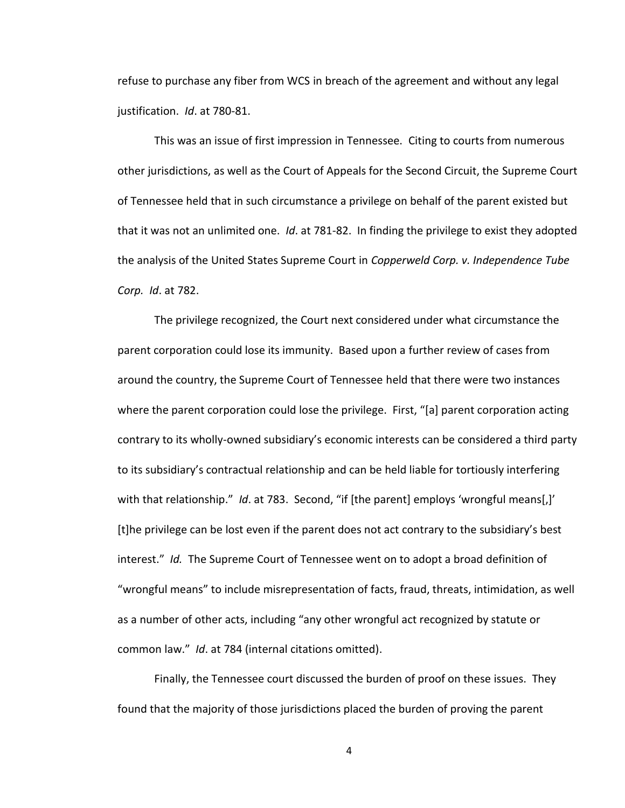refuse to purchase any fiber from WCS in breach of the agreement and without any legal justification. *Id*. at 780-81.

This was an issue of first impression in Tennessee. Citing to courts from numerous other jurisdictions, as well as the Court of Appeals for the Second Circuit, the Supreme Court of Tennessee held that in such circumstance a privilege on behalf of the parent existed but that it was not an unlimited one. *Id*. at 781-82. In finding the privilege to exist they adopted the analysis of the United States Supreme Court in *Copperweld Corp. v. Independence Tube Corp. Id*. at 782.

The privilege recognized, the Court next considered under what circumstance the parent corporation could lose its immunity. Based upon a further review of cases from around the country, the Supreme Court of Tennessee held that there were two instances where the parent corporation could lose the privilege. First, "[a] parent corporation acting contrary to its wholly-owned subsidiary's economic interests can be considered a third party to its subsidiary's contractual relationship and can be held liable for tortiously interfering with that relationship." *Id.* at 783. Second, "if [the parent] employs 'wrongful means[,]' [t]he privilege can be lost even if the parent does not act contrary to the subsidiary's best interest." *Id.* The Supreme Court of Tennessee went on to adopt a broad definition of "wrongful means" to include misrepresentation of facts, fraud, threats, intimidation, as well as a number of other acts, including "any other wrongful act recognized by statute or common law." *Id*. at 784 (internal citations omitted).

Finally, the Tennessee court discussed the burden of proof on these issues. They found that the majority of those jurisdictions placed the burden of proving the parent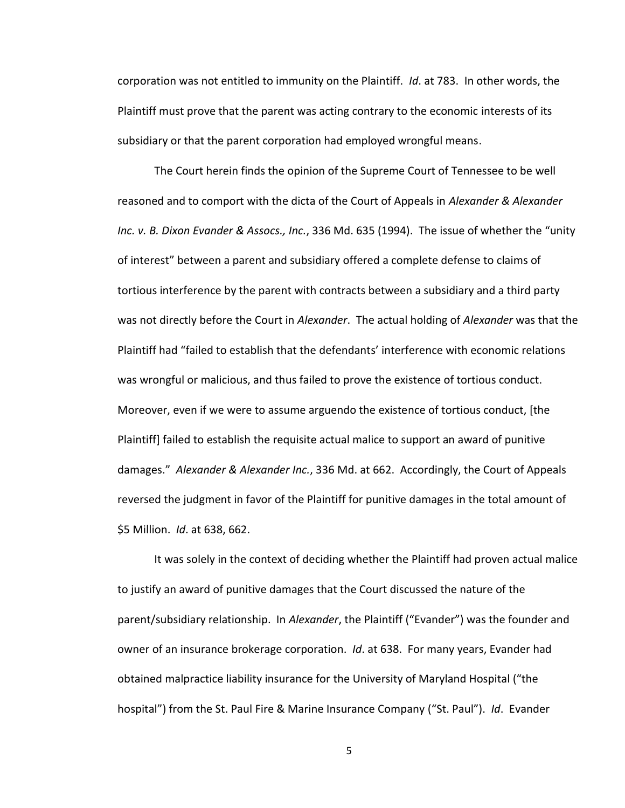corporation was not entitled to immunity on the Plaintiff. *Id*. at 783. In other words, the Plaintiff must prove that the parent was acting contrary to the economic interests of its subsidiary or that the parent corporation had employed wrongful means.

The Court herein finds the opinion of the Supreme Court of Tennessee to be well reasoned and to comport with the dicta of the Court of Appeals in *Alexander & Alexander Inc. v. B. Dixon Evander & Assocs., Inc.*, 336 Md. 635 (1994). The issue of whether the "unity of interest" between a parent and subsidiary offered a complete defense to claims of tortious interference by the parent with contracts between a subsidiary and a third party was not directly before the Court in *Alexander*. The actual holding of *Alexander* was that the Plaintiff had "failed to establish that the defendants' interference with economic relations was wrongful or malicious, and thus failed to prove the existence of tortious conduct. Moreover, even if we were to assume arguendo the existence of tortious conduct, [the Plaintiff] failed to establish the requisite actual malice to support an award of punitive damages." *Alexander & Alexander Inc.*, 336 Md. at 662. Accordingly, the Court of Appeals reversed the judgment in favor of the Plaintiff for punitive damages in the total amount of \$5 Million. *Id*. at 638, 662.

It was solely in the context of deciding whether the Plaintiff had proven actual malice to justify an award of punitive damages that the Court discussed the nature of the parent/subsidiary relationship. In *Alexander*, the Plaintiff ("Evander") was the founder and owner of an insurance brokerage corporation. *Id*. at 638. For many years, Evander had obtained malpractice liability insurance for the University of Maryland Hospital ("the hospital") from the St. Paul Fire & Marine Insurance Company ("St. Paul"). *Id*. Evander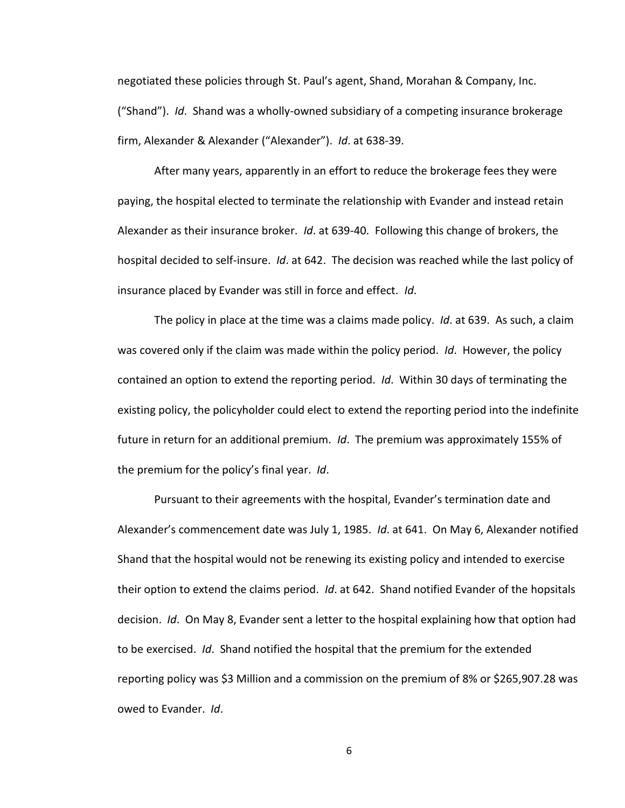negotiated these policies through St. Paul's agent, Shand, Morahan & Company, Inc. ("Shand"). *Id*. Shand was a wholly-owned subsidiary of a competing insurance brokerage firm, Alexander & Alexander ("Alexander"). *Id*. at 638-39.

After many years, apparently in an effort to reduce the brokerage fees they were paying, the hospital elected to terminate the relationship with Evander and instead retain Alexander as their insurance broker. *Id*. at 639-40. Following this change of brokers, the hospital decided to self-insure. *Id*. at 642. The decision was reached while the last policy of insurance placed by Evander was still in force and effect. *Id*.

The policy in place at the time was a claims made policy. *Id*. at 639. As such, a claim was covered only if the claim was made within the policy period. *Id*. However, the policy contained an option to extend the reporting period. *Id*. Within 30 days of terminating the existing policy, the policyholder could elect to extend the reporting period into the indefinite future in return for an additional premium. *Id*. The premium was approximately 155% of the premium for the policy's final year. *Id*.

Pursuant to their agreements with the hospital, Evander's termination date and Alexander's commencement date was July 1, 1985. *Id*. at 641. On May 6, Alexander notified Shand that the hospital would not be renewing its existing policy and intended to exercise their option to extend the claims period. *Id*. at 642. Shand notified Evander of the hopsitals decision. *Id*. On May 8, Evander sent a letter to the hospital explaining how that option had to be exercised. *Id*. Shand notified the hospital that the premium for the extended reporting policy was \$3 Million and a commission on the premium of 8% or \$265,907.28 was owed to Evander. *Id*.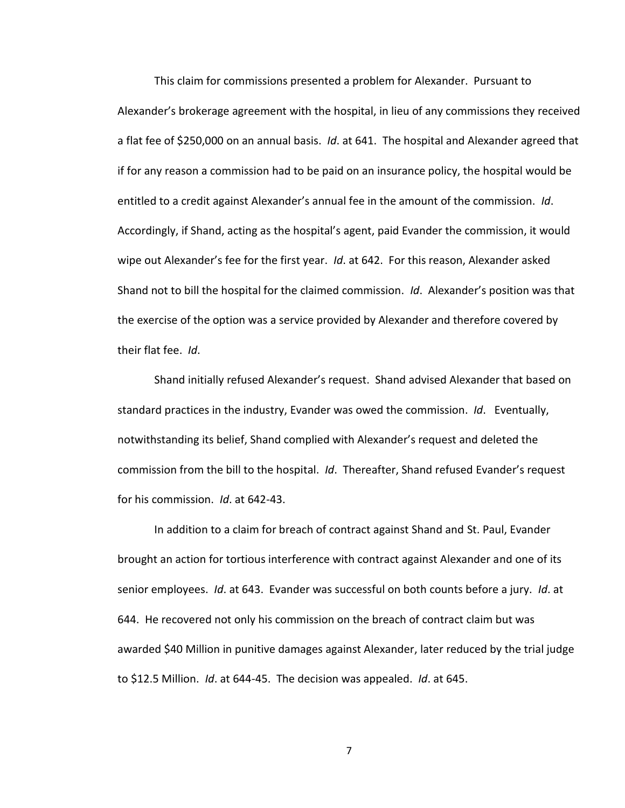This claim for commissions presented a problem for Alexander. Pursuant to Alexander's brokerage agreement with the hospital, in lieu of any commissions they received a flat fee of \$250,000 on an annual basis. *Id*. at 641. The hospital and Alexander agreed that if for any reason a commission had to be paid on an insurance policy, the hospital would be entitled to a credit against Alexander's annual fee in the amount of the commission. *Id*. Accordingly, if Shand, acting as the hospital's agent, paid Evander the commission, it would wipe out Alexander's fee for the first year. *Id*. at 642. For this reason, Alexander asked Shand not to bill the hospital for the claimed commission. *Id*. Alexander's position was that the exercise of the option was a service provided by Alexander and therefore covered by their flat fee. *Id*.

Shand initially refused Alexander's request. Shand advised Alexander that based on standard practices in the industry, Evander was owed the commission. *Id*. Eventually, notwithstanding its belief, Shand complied with Alexander's request and deleted the commission from the bill to the hospital. *Id*. Thereafter, Shand refused Evander's request for his commission. *Id*. at 642-43.

In addition to a claim for breach of contract against Shand and St. Paul, Evander brought an action for tortious interference with contract against Alexander and one of its senior employees. *Id*. at 643. Evander was successful on both counts before a jury. *Id*. at 644. He recovered not only his commission on the breach of contract claim but was awarded \$40 Million in punitive damages against Alexander, later reduced by the trial judge to \$12.5 Million. *Id*. at 644-45. The decision was appealed. *Id*. at 645.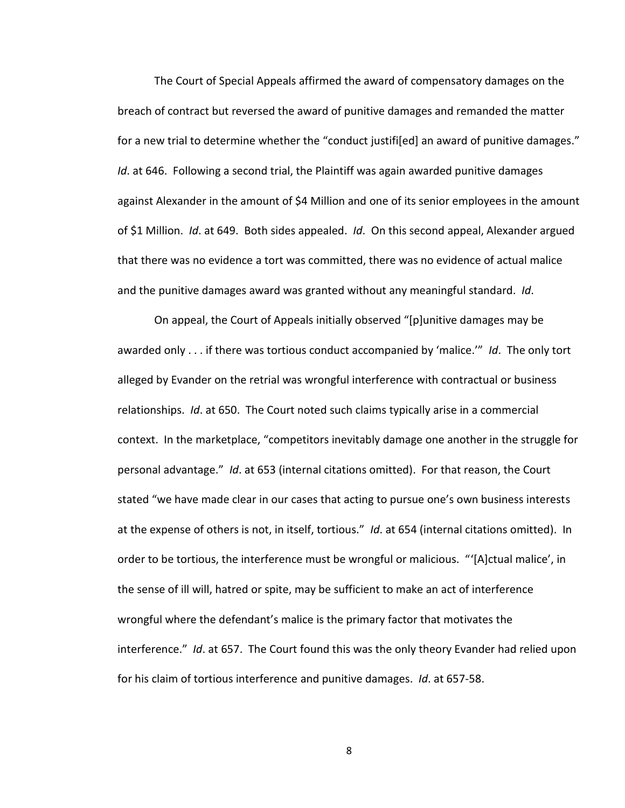The Court of Special Appeals affirmed the award of compensatory damages on the breach of contract but reversed the award of punitive damages and remanded the matter for a new trial to determine whether the "conduct justifi[ed] an award of punitive damages." *Id*. at 646. Following a second trial, the Plaintiff was again awarded punitive damages against Alexander in the amount of \$4 Million and one of its senior employees in the amount of \$1 Million. *Id*. at 649. Both sides appealed. *Id*. On this second appeal, Alexander argued that there was no evidence a tort was committed, there was no evidence of actual malice and the punitive damages award was granted without any meaningful standard. *Id*.

On appeal, the Court of Appeals initially observed "[p]unitive damages may be awarded only . . . if there was tortious conduct accompanied by 'malice.'" *Id*. The only tort alleged by Evander on the retrial was wrongful interference with contractual or business relationships. *Id*. at 650. The Court noted such claims typically arise in a commercial context. In the marketplace, "competitors inevitably damage one another in the struggle for personal advantage." *Id*. at 653 (internal citations omitted). For that reason, the Court stated "we have made clear in our cases that acting to pursue one's own business interests at the expense of others is not, in itself, tortious." *Id*. at 654 (internal citations omitted). In order to be tortious, the interference must be wrongful or malicious. "'[A]ctual malice', in the sense of ill will, hatred or spite, may be sufficient to make an act of interference wrongful where the defendant's malice is the primary factor that motivates the interference." *Id*. at 657. The Court found this was the only theory Evander had relied upon for his claim of tortious interference and punitive damages. *Id*. at 657-58.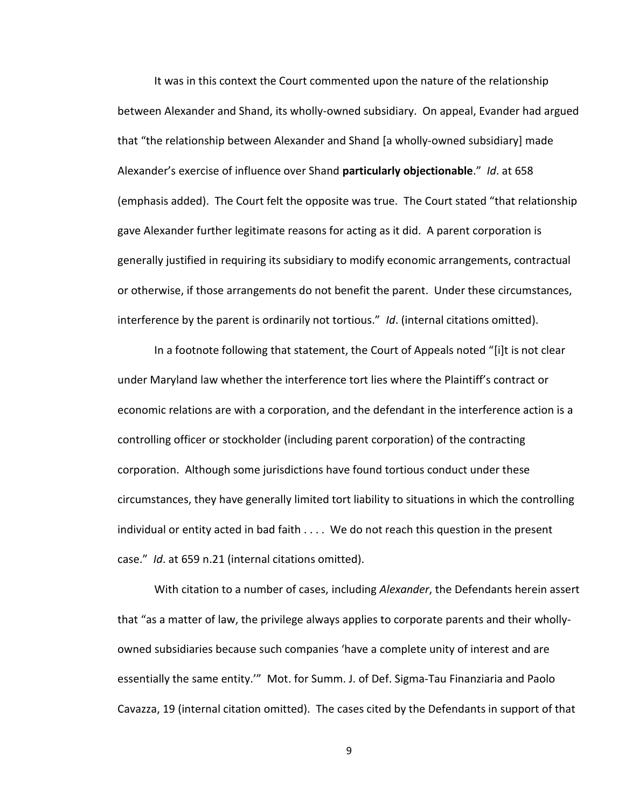It was in this context the Court commented upon the nature of the relationship between Alexander and Shand, its wholly-owned subsidiary. On appeal, Evander had argued that "the relationship between Alexander and Shand [a wholly-owned subsidiary] made Alexander's exercise of influence over Shand **particularly objectionable**." *Id*. at 658 (emphasis added). The Court felt the opposite was true. The Court stated "that relationship gave Alexander further legitimate reasons for acting as it did. A parent corporation is generally justified in requiring its subsidiary to modify economic arrangements, contractual or otherwise, if those arrangements do not benefit the parent. Under these circumstances, interference by the parent is ordinarily not tortious." *Id*. (internal citations omitted).

In a footnote following that statement, the Court of Appeals noted "[i]t is not clear under Maryland law whether the interference tort lies where the Plaintiff's contract or economic relations are with a corporation, and the defendant in the interference action is a controlling officer or stockholder (including parent corporation) of the contracting corporation. Although some jurisdictions have found tortious conduct under these circumstances, they have generally limited tort liability to situations in which the controlling individual or entity acted in bad faith . . . . We do not reach this question in the present case." *Id*. at 659 n.21 (internal citations omitted).

With citation to a number of cases, including *Alexander*, the Defendants herein assert that "as a matter of law, the privilege always applies to corporate parents and their whollyowned subsidiaries because such companies 'have a complete unity of interest and are essentially the same entity.'" Mot. for Summ. J. of Def. Sigma-Tau Finanziaria and Paolo Cavazza, 19 (internal citation omitted). The cases cited by the Defendants in support of that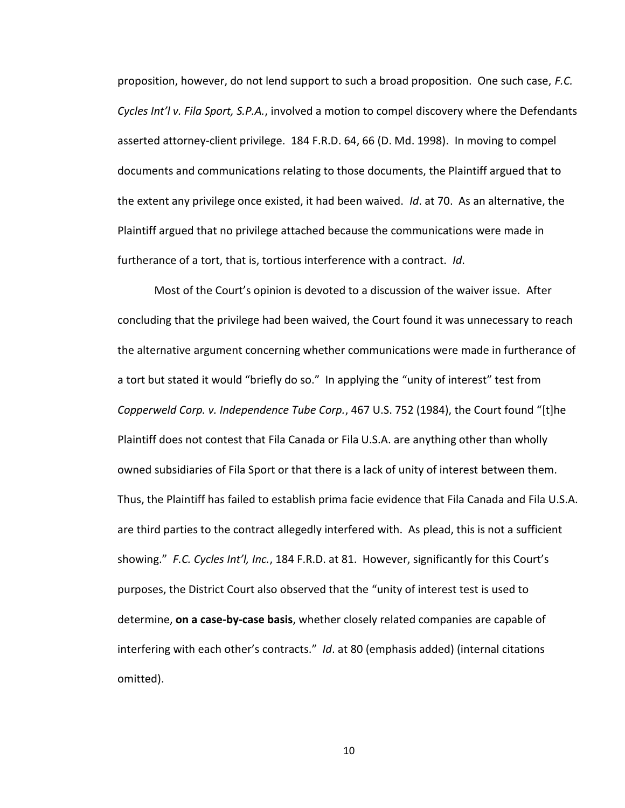proposition, however, do not lend support to such a broad proposition. One such case, *F.C. Cycles Int'l v. Fila Sport, S.P.A.*, involved a motion to compel discovery where the Defendants asserted attorney-client privilege. 184 F.R.D. 64, 66 (D. Md. 1998). In moving to compel documents and communications relating to those documents, the Plaintiff argued that to the extent any privilege once existed, it had been waived. *Id*. at 70. As an alternative, the Plaintiff argued that no privilege attached because the communications were made in furtherance of a tort, that is, tortious interference with a contract. *Id*.

Most of the Court's opinion is devoted to a discussion of the waiver issue. After concluding that the privilege had been waived, the Court found it was unnecessary to reach the alternative argument concerning whether communications were made in furtherance of a tort but stated it would "briefly do so." In applying the "unity of interest" test from *Copperweld Corp. v. Independence Tube Corp.*, 467 U.S. 752 (1984), the Court found "[t]he Plaintiff does not contest that Fila Canada or Fila U.S.A. are anything other than wholly owned subsidiaries of Fila Sport or that there is a lack of unity of interest between them. Thus, the Plaintiff has failed to establish prima facie evidence that Fila Canada and Fila U.S.A. are third parties to the contract allegedly interfered with. As plead, this is not a sufficient showing." *F.C. Cycles Int'l, Inc.*, 184 F.R.D. at 81. However, significantly for this Court's purposes, the District Court also observed that the "unity of interest test is used to determine, **on a case-by-case basis**, whether closely related companies are capable of interfering with each other's contracts." *Id*. at 80 (emphasis added) (internal citations omitted).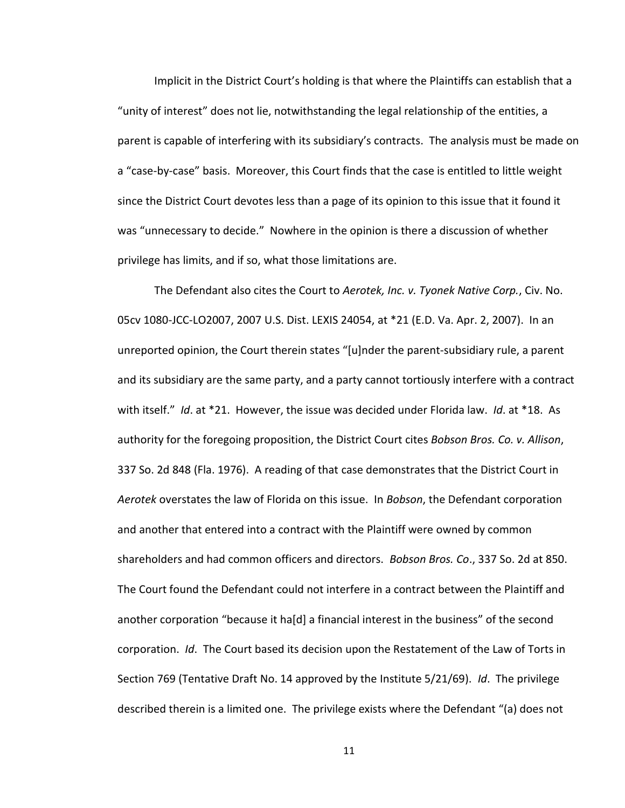Implicit in the District Court's holding is that where the Plaintiffs can establish that a "unity of interest" does not lie, notwithstanding the legal relationship of the entities, a parent is capable of interfering with its subsidiary's contracts. The analysis must be made on a "case-by-case" basis. Moreover, this Court finds that the case is entitled to little weight since the District Court devotes less than a page of its opinion to this issue that it found it was "unnecessary to decide." Nowhere in the opinion is there a discussion of whether privilege has limits, and if so, what those limitations are.

The Defendant also cites the Court to *Aerotek, Inc. v. Tyonek Native Corp.*, Civ. No. 05cv 1080-JCC-LO2007, 2007 U.S. Dist. LEXIS 24054, at \*21 (E.D. Va. Apr. 2, 2007). In an unreported opinion, the Court therein states "[u]nder the parent-subsidiary rule, a parent and its subsidiary are the same party, and a party cannot tortiously interfere with a contract with itself." *Id*. at \*21. However, the issue was decided under Florida law. *Id*. at \*18. As authority for the foregoing proposition, the District Court cites *Bobson Bros. Co. v. Allison*, 337 So. 2d 848 (Fla. 1976). A reading of that case demonstrates that the District Court in *Aerotek* overstates the law of Florida on this issue. In *Bobson*, the Defendant corporation and another that entered into a contract with the Plaintiff were owned by common shareholders and had common officers and directors. *Bobson Bros. Co*., 337 So. 2d at 850. The Court found the Defendant could not interfere in a contract between the Plaintiff and another corporation "because it ha[d] a financial interest in the business" of the second corporation. *Id*. The Court based its decision upon the Restatement of the Law of Torts in Section 769 (Tentative Draft No. 14 approved by the Institute 5/21/69). *Id*. The privilege described therein is a limited one. The privilege exists where the Defendant "(a) does not